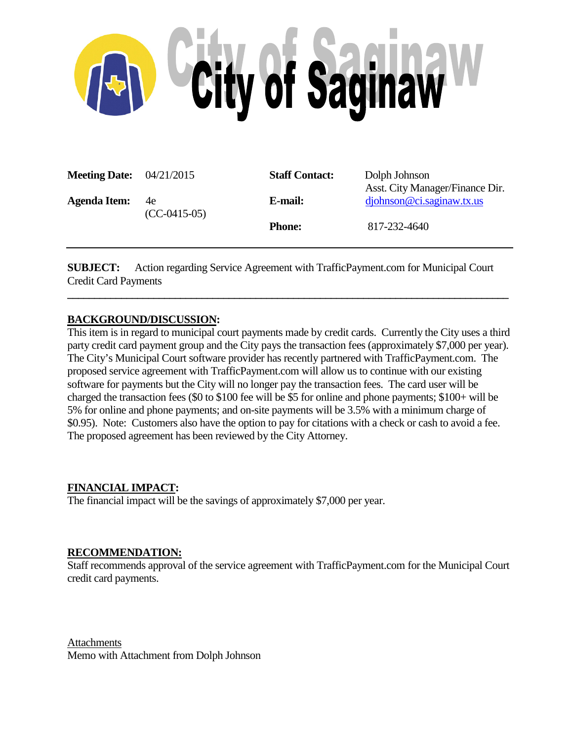

| <b>Meeting Date:</b> $04/21/2015$ |                      | <b>Staff Contact:</b> | Dolph Johnson<br>Asst. City Manager/Finance Dir. |
|-----------------------------------|----------------------|-----------------------|--------------------------------------------------|
| <b>Agenda Item:</b>               | 4e<br>$(CC-0415-05)$ | E-mail:               | diphnson@ci.saginaw.txt.us                       |
|                                   |                      | <b>Phone:</b>         | 817-232-4640                                     |

**SUBJECT:** Action regarding Service Agreement with TrafficPayment.com for Municipal Court Credit Card Payments

**\_\_\_\_\_\_\_\_\_\_\_\_\_\_\_\_\_\_\_\_\_\_\_\_\_\_\_\_\_\_\_\_\_\_\_\_\_\_\_\_\_\_\_\_\_\_\_\_\_\_\_\_\_\_\_\_\_\_\_\_\_\_\_\_\_\_\_\_\_\_\_\_\_\_\_\_\_\_\_\_\_\_**

## **BACKGROUND/DISCUSSION:**

This item is in regard to municipal court payments made by credit cards. Currently the City uses a third party credit card payment group and the City pays the transaction fees (approximately \$7,000 per year). The City's Municipal Court software provider has recently partnered with TrafficPayment.com. The proposed service agreement with TrafficPayment.com will allow us to continue with our existing software for payments but the City will no longer pay the transaction fees. The card user will be charged the transaction fees (\$0 to \$100 fee will be \$5 for online and phone payments; \$100+ will be 5% for online and phone payments; and on-site payments will be 3.5% with a minimum charge of \$0.95). Note: Customers also have the option to pay for citations with a check or cash to avoid a fee. The proposed agreement has been reviewed by the City Attorney.

## **FINANCIAL IMPACT:**

The financial impact will be the savings of approximately \$7,000 per year.

### **RECOMMENDATION:**

Staff recommends approval of the service agreement with TrafficPayment.com for the Municipal Court credit card payments.

**Attachments** Memo with Attachment from Dolph Johnson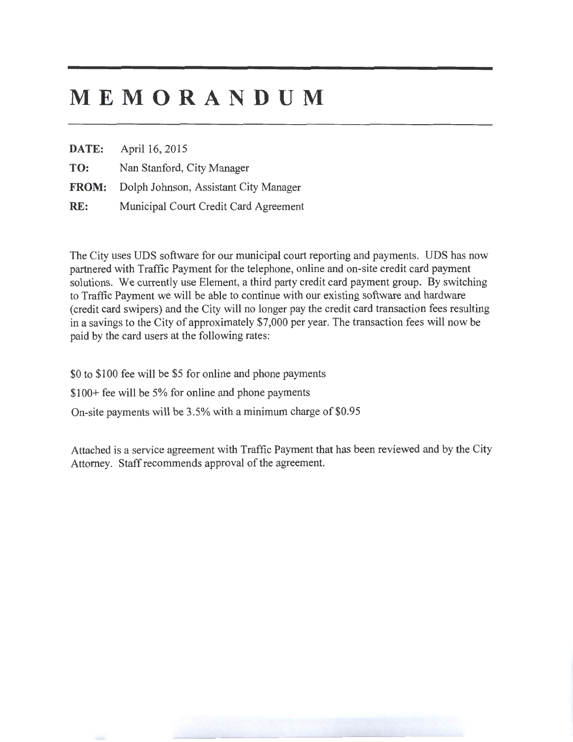# **MEMORANDUM**

**DATE:** April 16, 2015

**TO:** Nan Stanford, City Manager

**FROM:** Dolph Johnson, Assistant City Manager

RE: Municipal Court Credit Card Agreement

The City uses UDS software for our municipal court reporting and payments. UDS has now partnered with Traffic Payment for the telephone, online and on-site credit card payment solutions. We currently use Element, a third party credit card payment group. By switching to Traffic Payment we will be able to continue with our existing software and hardware (credit card swipers) and the City will no longer pay the credit card transaction fees resulting in a savings to the City of approximately \$7,000 per year. The transaction fees will now be paid by the card users at the following rates:

\$0 to \$100 fee will be \$5 for online and phone payments

\$100+ fee will be 5% for online and phone payments

On-site payments will be 3.5% with a minimum charge of \$0.95

Attached is a service agreement with Traffic Payment that has been reviewed and by the City Attorney. Staff recommends approval of the agreement.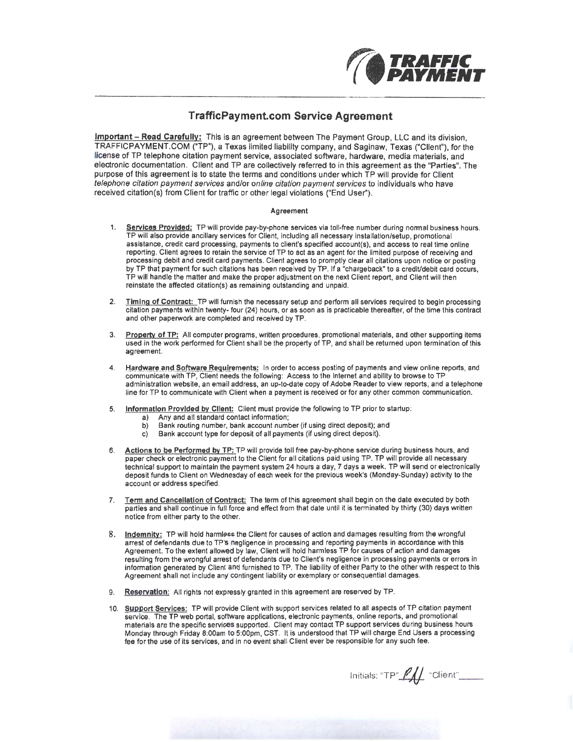

### **TrafficPayment.com Service Agreement**

Important - Read Carefully: This is an agreement between The Payment Group, LLC and its division, TRAFFICPAYMENT.COM ("TP"), a Texas limited liability company, and Saginaw, Texas ("Client"), for the license of TP telephone citation payment service, associated software, hardware, media materials, and electronic documentation. Client and TP are collectively referred to in this agreement as the "Parties". The purpose of this agreement is to state the terms and conditions under which TP will provide for Client telephone citation payment services and/or online citation payment services to individuals who have received citation(s) from Client for traffic or other legal violations ("End User").

#### Agreement

- 1. Services Provided: TP will provide pay-by-phone services via toll-free number during normal business hours. TP will also provide ancillary services for Client, including all necessary installation/setup, promotional assistance, credit card processing, payments to client's specified account(s), and access to real time online reporting. Client agrees to retain the service of TP to act as an agent for the limited purpose of receiving and processing debit and credit card payments. Client agrees to promptly clear all citations upon notice or posting by TP that payment for such citations has been received by TP. If a "chargeback" to a crediVdebit card occurs, TP will handle the matter and make the proper adjustment on the next Client report, and Client will then reinstate the affected citation(s) as remaining outstanding and unpaid.
- 2. Timing of Contract: TP will furnish the necessary setup and perform all services required to begin processing citation payments within twenty- four (24) hours, or as soon as is practicable thereafter, of the lime this contract and other paperwork are completed and received by TP.
- 3. Property of TP: All computer programs, written procedures, promotional materials, and other supporting items used in the work performed for Client shall be the property of TP, and shall be returned upon termination of this agreement.
- 4. Hardware and Software Requirements: In order to access posting of payments and view online reports, and communicate with TP, Client needs the following: Access to the Internet and ability to browse to TP administration website, an email address, an up-to-date copy of Adobe Reader to view reports, and a telephone line for TP to communicate with Client when a payment is received or for any other common communication.
- 5. Information Provided by Client: Client must provide the following to TP prior to startup:
	- a) Any and all standard contact information;
	- b) Bank routing number, bank account number (if using direct deposit); and
	- c) Bank account type for deposit of all payments (if using direct deposit).
- 6. Actions to be Performed by TP: TP will provide toll free pay-by-phone service during business hours, and paper check or electronic payment to the Client for all citations paid using TP. TP will provide all necessary technical support to maintain the payment system 24 hours a day, 7 days a week. TP will send or electronically deposit funds to Client on Wednesday of each week for the previous week's (Monday-Sunday) activity to the account or address specified.
- 7. Term and Cancellation of Contract; The term of this agreement shall begin on the date executed by both parties and shall continue in full force and effect from that date until it is terminated by thirty (30) days written notice from either party to the other.
- 8. lndemnitv: TP will hold harmless the Client for causes of action and damages resulting from the wrongful arrest of defendants due to TP's negligence in processing and reporting payments in accordance with this Agreement. To the extent allowed by law, Client will hold harmless TP for causes of action and damages resulting from the wrongful arrest of defendants due to Client's negligence in processing payments or errors in information generated by Client and furnished to TP. The liability of either Party to the other with respect to this Agreement shall not include any contingent liability or exemplary or consequential damages.
- 9. Reservation: All rights not expressly granted in this agreement are reserved by TP.
- 10. Support Services: TP will provide Client with support services related to all aspects of TP citation payment service. The TP web portal, software applications, electronic payments, online reports, and promotional materials are the specific services supported. Client may contact TP support services during business hours Monday through Friday 8:00am to 5:00pm, CST. It is understood that TP will charge End Users a processing fee for the use of its services, and in no event shall Client ever be responsible for any such fee.

Initials: " $TP"$   $\mathscr{L}\mathscr{L}$  "Client"